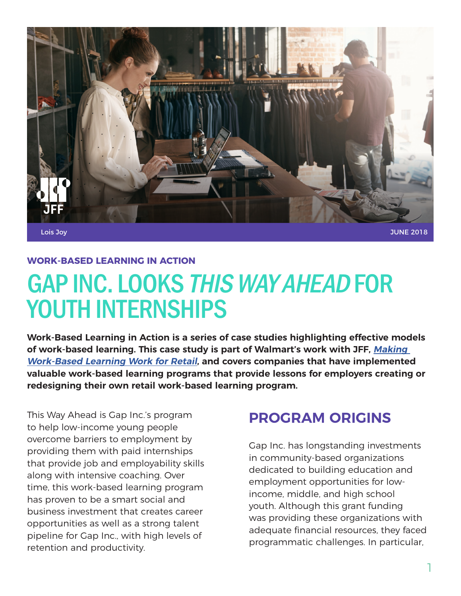

Lois Joy

JUNE 2018

#### **WORK-BASED LEARNING IN ACTION**

# GAP INC. LOOKS THIS WAY AHEAD FOR YOUTH INTERNSHIPS

**Work-Based Learning in Action is a series of case studies highlighting effective models of work-based learning. This case study is part of Walmart's work with JFF, [Making](http://www.jff.org/walmartwbl)  [Work-Based Learning Work for Retail](http://www.jff.org/walmartwbl), and covers companies that have implemented valuable work-based learning programs that provide lessons for employers creating or redesigning their own retail work-based learning program.**

This Way Ahead is Gap Inc.'s program to help low-income young people overcome barriers to employment by providing them with paid internships that provide job and employability skills along with intensive coaching. Over time, this work-based learning program has proven to be a smart social and business investment that creates career opportunities as well as a strong talent pipeline for Gap Inc., with high levels of retention and productivity.

## **PROGRAM ORIGINS**

Gap Inc. has longstanding investments in community-based organizations dedicated to building education and employment opportunities for lowincome, middle, and high school youth. Although this grant funding was providing these organizations with adequate financial resources, they faced programmatic challenges. In particular,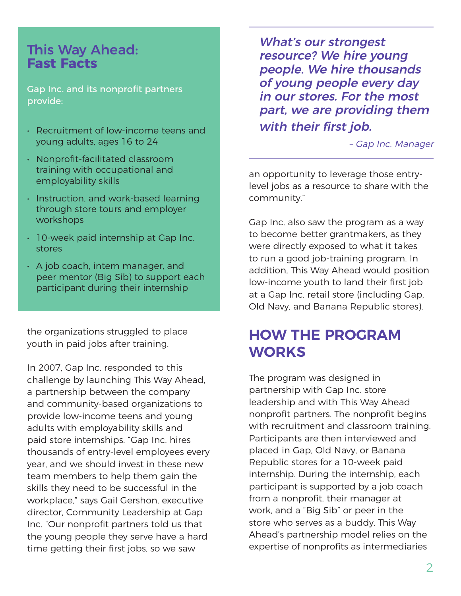#### This Way Ahead: **Fast Facts**

Gap Inc. and its nonprofit partners provide:

- Recruitment of low-income teens and young adults, ages 16 to 24
- Nonprofit-facilitated classroom training with occupational and employability skills
- Instruction, and work-based learning through store tours and employer workshops
- 10-week paid internship at Gap Inc. stores
- A job coach, intern manager, and peer mentor (Big Sib) to support each participant during their internship

the organizations struggled to place youth in paid jobs after training.

In 2007, Gap Inc. responded to this challenge by launching This Way Ahead, a partnership between the company and community-based organizations to provide low-income teens and young adults with employability skills and paid store internships. "Gap Inc. hires thousands of entry-level employees every year, and we should invest in these new team members to help them gain the skills they need to be successful in the workplace," says Gail Gershon, executive director, Community Leadership at Gap Inc. "Our nonprofit partners told us that the young people they serve have a hard time getting their first jobs, so we saw

What's our strongest resource? We hire young people. We hire thousands of young people every day in our stores. For the most part, we are providing them with their first job.

– Gap Inc. Manager

an opportunity to leverage those entrylevel jobs as a resource to share with the community."

Gap Inc. also saw the program as a way to become better grantmakers, as they were directly exposed to what it takes to run a good job-training program. In addition, This Way Ahead would position low-income youth to land their first job at a Gap Inc. retail store (including Gap, Old Navy, and Banana Republic stores).

## **HOW THE PROGRAM WORKS**

The program was designed in partnership with Gap Inc. store leadership and with This Way Ahead nonprofit partners. The nonprofit begins with recruitment and classroom training. Participants are then interviewed and placed in Gap, Old Navy, or Banana Republic stores for a 10-week paid internship. During the internship, each participant is supported by a job coach from a nonprofit, their manager at work, and a "Big Sib" or peer in the store who serves as a buddy. This Way Ahead's partnership model relies on the expertise of nonprofits as intermediaries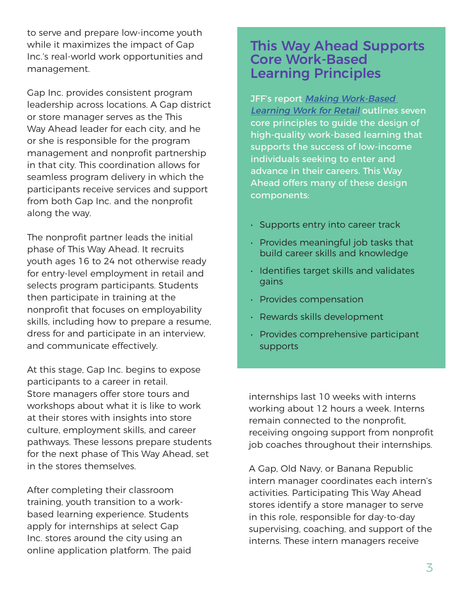to serve and prepare low-income youth while it maximizes the impact of Gap Inc.'s real-world work opportunities and management.

Gap Inc. provides consistent program leadership across locations. A Gap district or store manager serves as the This Way Ahead leader for each city, and he or she is responsible for the program management and nonprofit partnership in that city. This coordination allows for seamless program delivery in which the participants receive services and support from both Gap Inc. and the nonprofit along the way.

The nonprofit partner leads the initial phase of This Way Ahead. It recruits youth ages 16 to 24 not otherwise ready for entry-level employment in retail and selects program participants. Students then participate in training at the nonprofit that focuses on employability skills, including how to prepare a resume, dress for and participate in an interview, and communicate effectively.

At this stage, Gap Inc. begins to expose participants to a career in retail. Store managers offer store tours and workshops about what it is like to work at their stores with insights into store culture, employment skills, and career pathways. These lessons prepare students for the next phase of This Way Ahead, set in the stores themselves.

After completing their classroom training, youth transition to a workbased learning experience. Students apply for internships at select Gap Inc. stores around the city using an online application platform. The paid

#### This Way Ahead Supports Core Work-Based Learning Principles

JFF's report Making Work-Based [Learning Work for Retail](http://www.jff.org/walmartwbl) outlines seven core principles to guide the design of high-quality work-based learning that supports the success of low-income individuals seeking to enter and advance in their careers. This Way Ahead offers many of these design components:

- Supports entry into career track
- Provides meaningful job tasks that build career skills and knowledge
- Identifies target skills and validates gains
- Provides compensation
- Rewards skills development
- Provides comprehensive participant supports

internships last 10 weeks with interns working about 12 hours a week. Interns remain connected to the nonprofit, receiving ongoing support from nonprofit job coaches throughout their internships.

A Gap, Old Navy, or Banana Republic intern manager coordinates each intern's activities. Participating This Way Ahead stores identify a store manager to serve in this role, responsible for day-to-day supervising, coaching, and support of the interns. These intern managers receive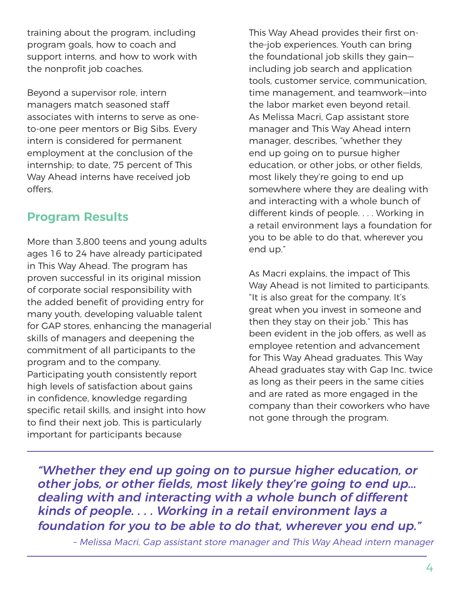training about the program, including program goals, how to coach and support interns, and how to work with the nonprofit job coaches.

Beyond a supervisor role, intern managers match seasoned staff associates with interns to serve as oneto-one peer mentors or Big Sibs. Every intern is considered for permanent employment at the conclusion of the internship; to date, 75 percent of This Way Ahead interns have received job offers.

#### **Program Results**

More than 3,800 teens and young adults ages 16 to 24 have already participated in This Way Ahead. The program has proven successful in its original mission of corporate social responsibility with the added benefit of providing entry for many youth, developing valuable talent for GAP stores, enhancing the managerial skills of managers and deepening the commitment of all participants to the program and to the company. Participating youth consistently report high levels of satisfaction about gains in confidence, knowledge regarding specific retail skills, and insight into how to find their next job. This is particularly important for participants because

This Way Ahead provides their first onthe-job experiences. Youth can bring the foundational job skills they gain including job search and application tools, customer service, communication, time management, and teamwork—into the labor market even beyond retail. As Melissa Macri, Gap assistant store manager and This Way Ahead intern manager, describes, "whether they end up going on to pursue higher education, or other jobs, or other fields, most likely they're going to end up somewhere where they are dealing with and interacting with a whole bunch of different kinds of people. . . . Working in a retail environment lays a foundation for you to be able to do that, wherever you end up."

As Macri explains, the impact of This Way Ahead is not limited to participants. "It is also great for the company. It's great when you invest in someone and then they stay on their job." This has been evident in the job offers, as well as employee retention and advancement for This Way Ahead graduates. This Way Ahead graduates stay with Gap Inc. twice as long as their peers in the same cities and are rated as more engaged in the company than their coworkers who have not gone through the program.

"Whether they end up going on to pursue higher education, or other jobs, or other fields, most likely they're going to end up... dealing with and interacting with a whole bunch of different kinds of people. . . . Working in a retail environment lays a foundation for you to be able to do that, wherever you end up."

– Melissa Macri, Gap assistant store manager and This Way Ahead intern manager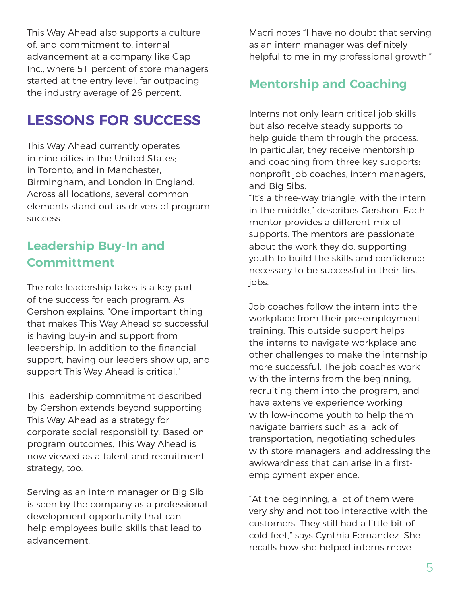This Way Ahead also supports a culture of, and commitment to, internal advancement at a company like Gap Inc., where 51 percent of store managers started at the entry level, far outpacing the industry average of 26 percent.

# **LESSONS FOR SUCCESS**

This Way Ahead currently operates in nine cities in the United States; in Toronto; and in Manchester, Birmingham, and London in England. Across all locations, several common elements stand out as drivers of program success.

## **Leadership Buy-In and Committment**

The role leadership takes is a key part of the success for each program. As Gershon explains, "One important thing that makes This Way Ahead so successful is having buy-in and support from leadership. In addition to the financial support, having our leaders show up, and support This Way Ahead is critical."

This leadership commitment described by Gershon extends beyond supporting This Way Ahead as a strategy for corporate social responsibility. Based on program outcomes, This Way Ahead is now viewed as a talent and recruitment strategy, too.

Serving as an intern manager or Big Sib is seen by the company as a professional development opportunity that can help employees build skills that lead to advancement.

Macri notes "I have no doubt that serving as an intern manager was definitely helpful to me in my professional growth."

#### **Mentorship and Coaching**

Interns not only learn critical job skills but also receive steady supports to help guide them through the process. In particular, they receive mentorship and coaching from three key supports: nonprofit job coaches, intern managers, and Big Sibs.

"It's a three-way triangle, with the intern in the middle," describes Gershon. Each mentor provides a different mix of supports. The mentors are passionate about the work they do, supporting youth to build the skills and confidence necessary to be successful in their first jobs.

Job coaches follow the intern into the workplace from their pre-employment training. This outside support helps the interns to navigate workplace and other challenges to make the internship more successful. The job coaches work with the interns from the beginning, recruiting them into the program, and have extensive experience working with low-income youth to help them navigate barriers such as a lack of transportation, negotiating schedules with store managers, and addressing the awkwardness that can arise in a firstemployment experience.

"At the beginning, a lot of them were very shy and not too interactive with the customers. They still had a little bit of cold feet," says Cynthia Fernandez. She recalls how she helped interns move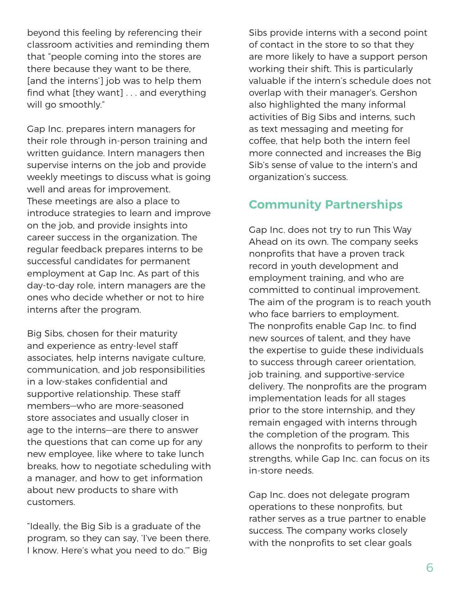beyond this feeling by referencing their classroom activities and reminding them that "people coming into the stores are there because they want to be there, [and the interns'] job was to help them find what [they want] . . . and everything will go smoothly."

Gap Inc. prepares intern managers for their role through in-person training and written guidance. Intern managers then supervise interns on the job and provide weekly meetings to discuss what is going well and areas for improvement. These meetings are also a place to introduce strategies to learn and improve on the job, and provide insights into career success in the organization. The regular feedback prepares interns to be successful candidates for permanent employment at Gap Inc. As part of this day-to-day role, intern managers are the ones who decide whether or not to hire interns after the program.

Big Sibs, chosen for their maturity and experience as entry-level staff associates, help interns navigate culture, communication, and job responsibilities in a low-stakes confidential and supportive relationship. These staff members—who are more-seasoned store associates and usually closer in age to the interns—are there to answer the questions that can come up for any new employee, like where to take lunch breaks, how to negotiate scheduling with a manager, and how to get information about new products to share with customers.

"Ideally, the Big Sib is a graduate of the program, so they can say, 'I've been there. I know. Here's what you need to do.'" Big

Sibs provide interns with a second point of contact in the store to so that they are more likely to have a support person working their shift. This is particularly valuable if the intern's schedule does not overlap with their manager's. Gershon also highlighted the many informal activities of Big Sibs and interns, such as text messaging and meeting for coffee, that help both the intern feel more connected and increases the Big Sib's sense of value to the intern's and organization's success.

#### **Community Partnerships**

Gap Inc. does not try to run This Way Ahead on its own. The company seeks nonprofits that have a proven track record in youth development and employment training, and who are committed to continual improvement. The aim of the program is to reach youth who face barriers to employment. The nonprofits enable Gap Inc. to find new sources of talent, and they have the expertise to guide these individuals to success through career orientation, job training, and supportive-service delivery. The nonprofits are the program implementation leads for all stages prior to the store internship, and they remain engaged with interns through the completion of the program. This allows the nonprofits to perform to their strengths, while Gap Inc. can focus on its in-store needs.

Gap Inc. does not delegate program operations to these nonprofits, but rather serves as a true partner to enable success. The company works closely with the nonprofits to set clear goals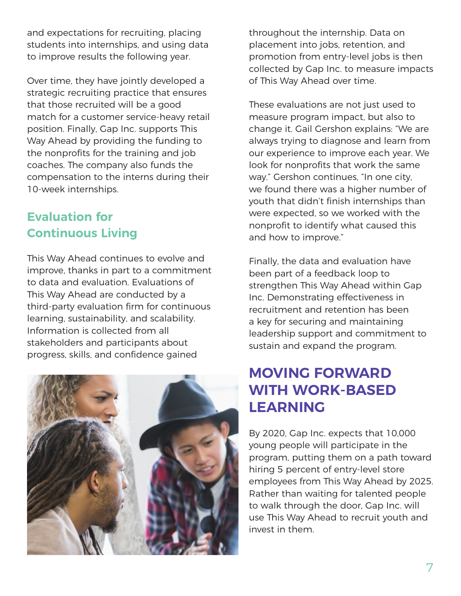and expectations for recruiting, placing students into internships, and using data to improve results the following year.

Over time, they have jointly developed a strategic recruiting practice that ensures that those recruited will be a good match for a customer service-heavy retail position. Finally, Gap Inc. supports This Way Ahead by providing the funding to the nonprofits for the training and job coaches. The company also funds the compensation to the interns during their 10-week internships.

## **Evaluation for Continuous Living**

This Way Ahead continues to evolve and improve, thanks in part to a commitment to data and evaluation. Evaluations of This Way Ahead are conducted by a third-party evaluation firm for continuous learning, sustainability, and scalability. Information is collected from all stakeholders and participants about progress, skills, and confidence gained



throughout the internship. Data on placement into jobs, retention, and promotion from entry-level jobs is then collected by Gap Inc. to measure impacts of This Way Ahead over time.

These evaluations are not just used to measure program impact, but also to change it. Gail Gershon explains: "We are always trying to diagnose and learn from our experience to improve each year. We look for nonprofits that work the same way." Gershon continues, "In one city, we found there was a higher number of youth that didn't finish internships than were expected, so we worked with the nonprofit to identify what caused this and how to improve."

Finally, the data and evaluation have been part of a feedback loop to strengthen This Way Ahead within Gap Inc. Demonstrating effectiveness in recruitment and retention has been a key for securing and maintaining leadership support and commitment to sustain and expand the program.

# **MOVING FORWARD WITH WORK-BASED LEARNING**

By 2020, Gap Inc. expects that 10,000 young people will participate in the program, putting them on a path toward hiring 5 percent of entry-level store employees from This Way Ahead by 2025. Rather than waiting for talented people to walk through the door, Gap Inc. will use This Way Ahead to recruit youth and invest in them.